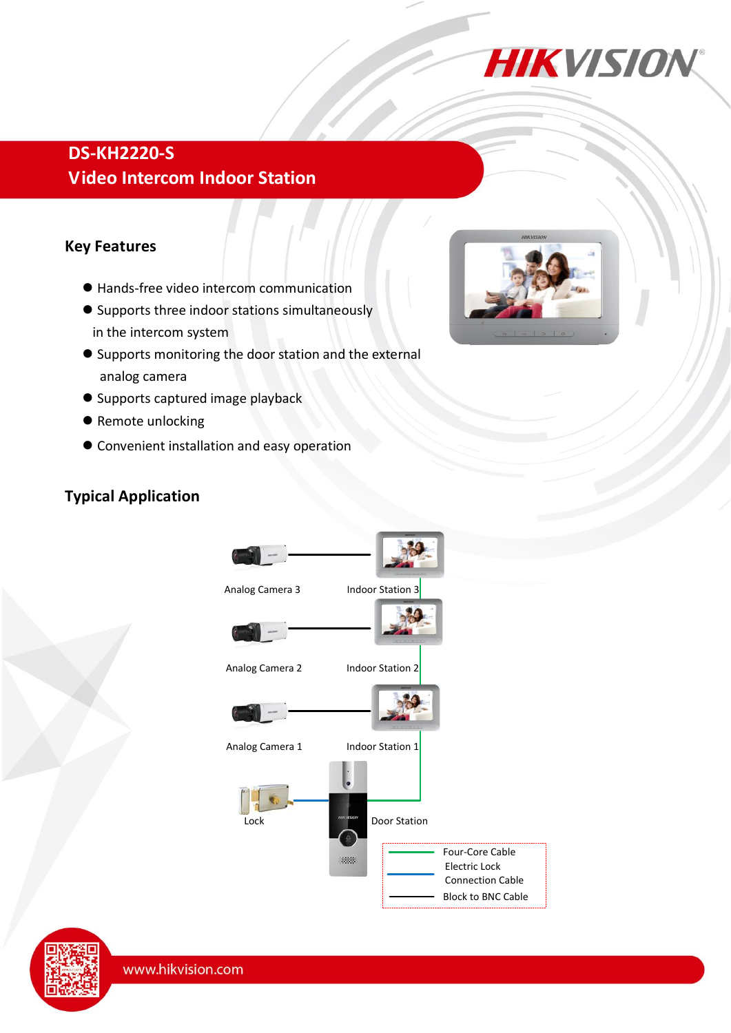

## **DS-KH2220-S Video Intercom Indoor Station**

#### **Key Features**

- Hands-free video intercom communication
- Supports three indoor stations simultaneously in the intercom system
- Supports monitoring the door station and the external analog camera
- **Supports captured image playback**
- Remote unlocking
- Convenient installation and easy operation

#### **Typical Application**





www.hikvision.com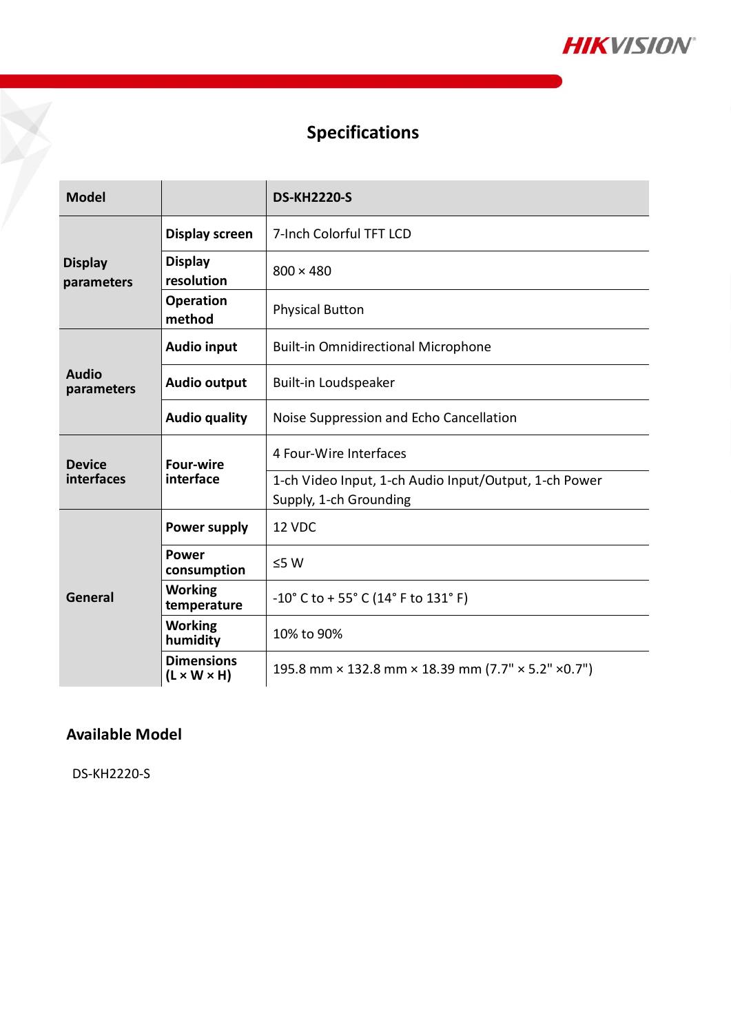

## **Specifications**

| <b>Model</b>                 |                                              | <b>DS-KH2220-S</b>                                                              |  |  |
|------------------------------|----------------------------------------------|---------------------------------------------------------------------------------|--|--|
| <b>Display</b><br>parameters | <b>Display screen</b>                        | 7-Inch Colorful TFT LCD                                                         |  |  |
|                              | <b>Display</b><br>resolution                 | $800 \times 480$                                                                |  |  |
|                              | <b>Operation</b><br>method                   | <b>Physical Button</b>                                                          |  |  |
| <b>Audio</b><br>parameters   | <b>Audio input</b>                           | <b>Built-in Omnidirectional Microphone</b>                                      |  |  |
|                              | <b>Audio output</b>                          | Built-in Loudspeaker                                                            |  |  |
|                              | <b>Audio quality</b>                         | Noise Suppression and Echo Cancellation                                         |  |  |
| <b>Device</b><br>interfaces  | <b>Four-wire</b><br>interface                | 4 Four-Wire Interfaces                                                          |  |  |
|                              |                                              | 1-ch Video Input, 1-ch Audio Input/Output, 1-ch Power<br>Supply, 1-ch Grounding |  |  |
| General                      | Power supply                                 | 12 VDC                                                                          |  |  |
|                              | <b>Power</b><br>consumption                  | $≤5 W$                                                                          |  |  |
|                              | <b>Working</b><br>temperature                | $-10^{\circ}$ C to + 55° C (14° F to 131° F)                                    |  |  |
|                              | <b>Working</b><br>humidity                   | 10% to 90%                                                                      |  |  |
|                              | <b>Dimensions</b><br>$(L \times W \times H)$ | 195.8 mm × 132.8 mm × 18.39 mm (7.7" × 5.2" × 0.7")                             |  |  |

### **Available Model**

DS-KH2220-S

H